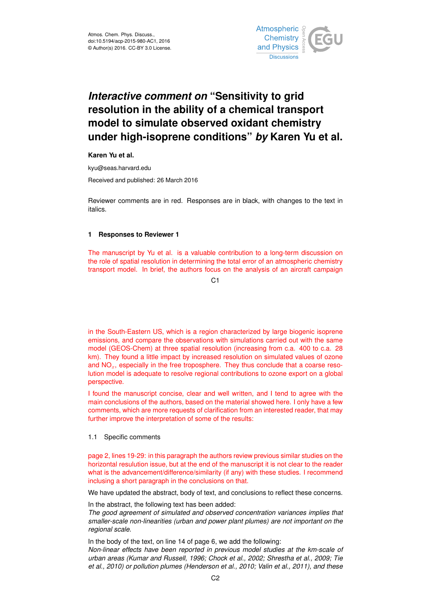

# *Interactive comment on* **"Sensitivity to grid resolution in the ability of a chemical transport model to simulate observed oxidant chemistry under high-isoprene conditions"** *by* **Karen Yu et al.**

**Karen Yu et al.**

kyu@seas.harvard.edu

Received and published: 26 March 2016

Reviewer comments are in red. Responses are in black, with changes to the text in italics.

### **1 Responses to Reviewer 1**

The manuscript by Yu et al. is a valuable contribution to a long-term discussion on the role of spatial resolution in determining the total error of an atmospheric chemistry transport model. In brief, the authors focus on the analysis of an aircraft campaign

C1

in the South-Eastern US, which is a region characterized by large biogenic isoprene emissions, and compare the observations with simulations carried out with the same model (GEOS-Chem) at three spatial resolution (increasing from c.a. 400 to c.a. 28 km). They found a little impact by increased resolution on simulated values of ozone and  $NO<sub>x</sub>$ , especially in the free troposphere. They thus conclude that a coarse resolution model is adequate to resolve regional contributions to ozone export on a global perspective.

I found the manuscript concise, clear and well written, and I tend to agree with the main conclusions of the authors, based on the material showed here. I only have a few comments, which are more requests of clarification from an interested reader, that may further improve the interpretation of some of the results:

#### 1.1 Specific comments

page 2, lines 19-29: in this paragraph the authors review previous similar studies on the horizontal resulution issue, but at the end of the manuscript it is not clear to the reader what is the advancement/difference/similarity (if any) with these studies. I recommend inclusing a short paragraph in the conclusions on that.

We have updated the abstract, body of text, and conclusions to reflect these concerns.

In the abstract, the following text has been added:

*The good agreement of simulated and observed concentration variances implies that smaller-scale non-linearities (urban and power plant plumes) are not important on the regional scale.*

In the body of the text, on line 14 of page 6, we add the following: *Non-linear effects have been reported in previous model studies at the km-scale of urban areas (Kumar and Russell, 1996; Chock et al., 2002; Shrestha et al., 2009; Tie et al., 2010) or pollution plumes (Henderson et al., 2010; Valin et al., 2011), and these*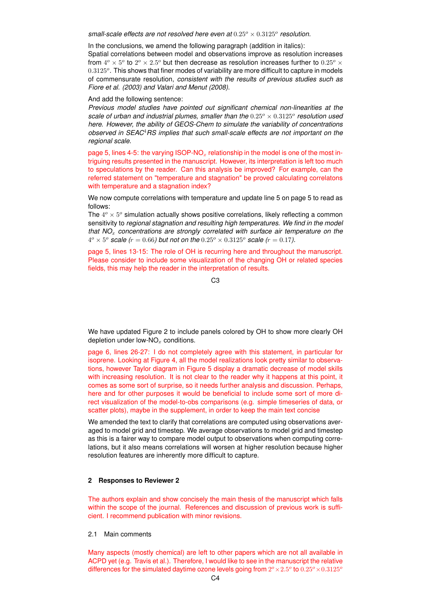$s$ mall-scale effects are not resolved here even at  $0.25^o \times 0.3125^o$  resolution.

In the conclusions, we amend the following paragraph (addition in italics):

Spatial correlations between model and observations improve as resolution increases from  $4^{\circ} \times 5^{\circ}$  to  $2^{\circ} \times 2.5^{\circ}$  but then decrease as resolution increases further to  $0.25^{\circ} \times$  $0.3125^o$ . This shows that finer modes of variability are more difficult to capture in models of commensurate resolution, *consistent with the results of previous studies such as Fiore et al. (2003) and Valari and Menut (2008)*.

And add the following sentence:

*Previous model studies have pointed out significant chemical non-linearities at the* scale of urban and industrial plumes, smaller than the  $0.25^{\circ} \times 0.3125^{\circ}$  resolution used *here. However, the ability of GEOS-Chem to simulate the variability of concentrations observed in SEAC*4*RS implies that such small-scale effects are not important on the regional scale.*

page 5, lines 4-5: the varying  $ISOP-NO_x$  relationship in the model is one of the most intriguing results presented in the manuscript. However, its interpretation is left too much to speculations by the reader. Can this analysis be improved? For example, can the referred statement on "temperature and stagnation" be proved calculating correlatons with temperature and a stagnation index?

We now compute correlations with temperature and update line 5 on page 5 to read as follows:

The  $4^o \times 5^o$  simulation actually shows positive correlations, likely reflecting a common sensitivity to *regional stagnation and resulting high temperatures. We find in the model that NO<sub>x</sub> concentrations are strongly correlated with surface air temperature on the*  $4^o \times 5^o$  *scale (r = 0.66) but not on the*  $0.25^o \times 0.3125^o$  *scale (r = 0.17).* 

page 5, lines 13-15: The role of OH is recurring here and throughout the manuscript. Please consider to include some visualization of the changing OH or related species fields, this may help the reader in the interpretation of results.

 $C<sub>3</sub>$ 

We have updated Figure 2 to include panels colored by OH to show more clearly OH depletion under low- $NO<sub>x</sub>$  conditions.

page 6, lines 26-27: I do not completely agree with this statement, in particular for isoprene. Looking at Figure 4, all the model realizations look pretty similar to observations, however Taylor diagram in Figure 5 display a dramatic decrease of model skills with increasing resolution. It is not clear to the reader why it happens at this point, it comes as some sort of surprise, so it needs further analysis and discussion. Perhaps, here and for other purposes it would be beneficial to include some sort of more direct visualization of the model-to-obs comparisons (e.g. simple timeseries of data, or scatter plots), maybe in the supplement, in order to keep the main text concise

We amended the text to clarify that correlations are computed using observations averaged to model grid and timestep. We average observations to model grid and timestep as this is a fairer way to compare model output to observations when computing correlations, but it also means correlations will worsen at higher resolution because higher resolution features are inherently more difficult to capture.

## **2 Responses to Reviewer 2**

The authors explain and show concisely the main thesis of the manuscript which falls within the scope of the journal. References and discussion of previous work is sufficient. I recommend publication with minor revisions.

#### 2.1 Main comments

Many aspects (mostly chemical) are left to other papers which are not all available in ACPD yet (e.g. Travis et al.). Therefore, I would like to see in the manuscript the relative differences for the simulated daytime ozone levels going from  $2^o \times 2.5^o$  to  $0.25^o \times 0.3125^o$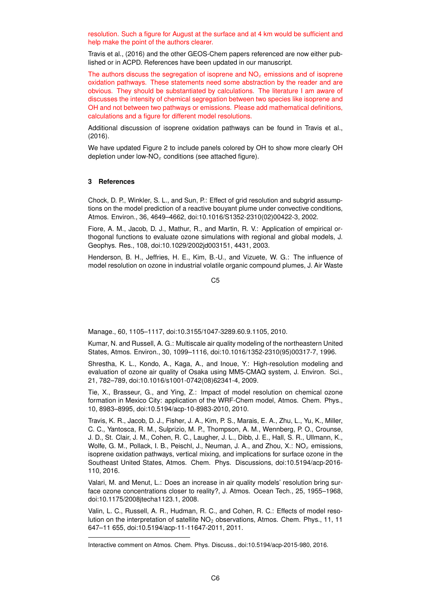resolution. Such a figure for August at the surface and at 4 km would be sufficient and help make the point of the authors clearer.

Travis et al., (2016) and the other GEOS-Chem papers referenced are now either published or in ACPD. References have been updated in our manuscript.

The authors discuss the segregation of isoprene and  $NO<sub>x</sub>$  emissions and of isoprene oxidation pathways. These statements need some abstraction by the reader and are obvious. They should be substantiated by calculations. The literature I am aware of discusses the intensity of chemical segregation between two species like isoprene and OH and not between two pathways or emissions. Please add mathematical definitions, calculations and a figure for different model resolutions.

Additional discussion of isoprene oxidation pathways can be found in Travis et al., (2016).

We have updated Figure 2 to include panels colored by OH to show more clearly OH depletion under low-NO<sub>x</sub> conditions (see attached figure).

## **3 References**

Chock, D. P., Winkler, S. L., and Sun, P.: Effect of grid resolution and subgrid assumptions on the model prediction of a reactive bouyant plume under convective conditions, Atmos. Environ., 36, 4649–4662, doi:10.1016/S1352-2310(02)00422-3, 2002.

Fiore, A. M., Jacob, D. J., Mathur, R., and Martin, R. V.: Application of empirical orthogonal functions to evaluate ozone simulations with regional and global models, J. Geophys. Res., 108, doi:10.1029/2002jd003151, 4431, 2003.

Henderson, B. H., Jeffries, H. E., Kim, B.-U., and Vizuete, W. G.: The influence of model resolution on ozone in industrial volatile organic compound plumes, J. Air Waste

C5

Manage., 60, 1105–1117, doi:10.3155/1047-3289.60.9.1105, 2010.

Kumar, N. and Russell, A. G.: Multiscale air quality modeling of the northeastern United States, Atmos. Environ., 30, 1099–1116, doi:10.1016/1352-2310(95)00317-7, 1996.

Shrestha, K. L., Kondo, A., Kaga, A., and Inoue, Y.: High-resolution modeling and evaluation of ozone air quality of Osaka using MM5-CMAQ system, J. Environ. Sci., 21, 782–789, doi:10.1016/s1001-0742(08)62341-4, 2009.

Tie, X., Brasseur, G., and Ying, Z.: Impact of model resolution on chemical ozone formation in Mexico City: application of the WRF-Chem model, Atmos. Chem. Phys., 10, 8983–8995, doi:10.5194/acp-10-8983-2010, 2010.

Travis, K. R., Jacob, D. J., Fisher, J. A., Kim, P. S., Marais, E. A., Zhu, L., Yu, K., Miller, C. C., Yantosca, R. M., Sulprizio, M. P., Thompson, A. M., Wennberg, P. O., Crounse, J. D., St. Clair, J. M., Cohen, R. C., Laugher, J. L., Dibb, J. E., Hall, S. R., Ullmann, K., Wolfe, G. M., Pollack, I. B., Peischl, J., Neuman, J. A., and Zhou, X.:  $NO_x$  emissions, isoprene oxidation pathways, vertical mixing, and implications for surface ozone in the Southeast United States, Atmos. Chem. Phys. Discussions, doi:10.5194/acp-2016- 110, 2016.

Valari, M. and Menut, L.: Does an increase in air quality models' resolution bring surface ozone concentrations closer to reality?, J. Atmos. Ocean Tech., 25, 1955–1968, doi:10.1175/2008jtecha1123.1, 2008.

Valin, L. C., Russell, A. R., Hudman, R. C., and Cohen, R. C.: Effects of model resolution on the interpretation of satellite  $NO<sub>2</sub>$  observations, Atmos. Chem. Phys., 11, 11 647–11 655, doi:10.5194/acp-11-11647-2011, 2011.

Interactive comment on Atmos. Chem. Phys. Discuss., doi:10.5194/acp-2015-980, 2016.